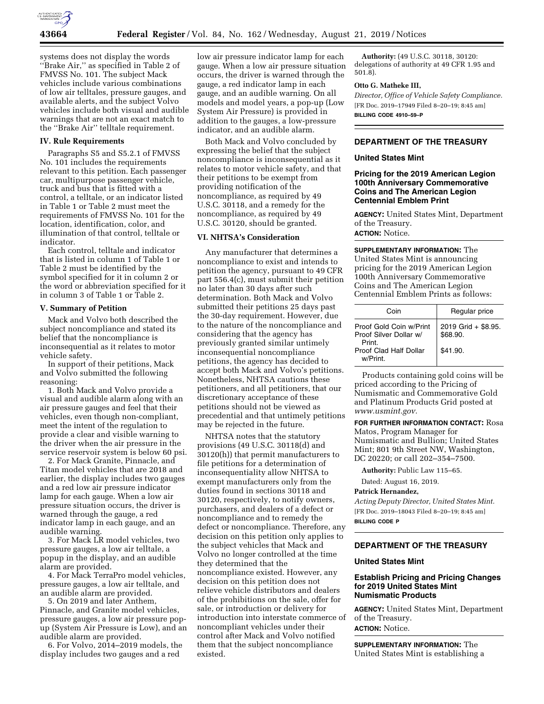

systems does not display the words ''Brake Air,'' as specified in Table 2 of FMVSS No. 101. The subject Mack vehicles include various combinations of low air telltales, pressure gauges, and available alerts, and the subject Volvo vehicles include both visual and audible warnings that are not an exact match to the ''Brake Air'' telltale requirement.

### **IV. Rule Requirements**

Paragraphs S5 and S5.2.1 of FMVSS No. 101 includes the requirements relevant to this petition. Each passenger car, multipurpose passenger vehicle, truck and bus that is fitted with a control, a telltale, or an indicator listed in Table 1 or Table 2 must meet the requirements of FMVSS No. 101 for the location, identification, color, and illumination of that control, telltale or indicator.

Each control, telltale and indicator that is listed in column 1 of Table 1 or Table 2 must be identified by the symbol specified for it in column 2 or the word or abbreviation specified for it in column 3 of Table 1 or Table 2.

# **V. Summary of Petition**

Mack and Volvo both described the subject noncompliance and stated its belief that the noncompliance is inconsequential as it relates to motor vehicle safety.

In support of their petitions, Mack and Volvo submitted the following reasoning:

1. Both Mack and Volvo provide a visual and audible alarm along with an air pressure gauges and feel that their vehicles, even though non-compliant, meet the intent of the regulation to provide a clear and visible warning to the driver when the air pressure in the service reservoir system is below 60 psi.

2. For Mack Granite, Pinnacle, and Titan model vehicles that are 2018 and earlier, the display includes two gauges and a red low air pressure indicator lamp for each gauge. When a low air pressure situation occurs, the driver is warned through the gauge, a red indicator lamp in each gauge, and an audible warning.

3. For Mack LR model vehicles, two pressure gauges, a low air telltale, a popup in the display, and an audible alarm are provided.

4. For Mack TerraPro model vehicles, pressure gauges, a low air telltale, and an audible alarm are provided.

5. On 2019 and later Anthem, Pinnacle, and Granite model vehicles, pressure gauges, a low air pressure popup (System Air Pressure is Low), and an audible alarm are provided.

6. For Volvo, 2014–2019 models, the display includes two gauges and a red

low air pressure indicator lamp for each gauge. When a low air pressure situation occurs, the driver is warned through the gauge, a red indicator lamp in each gauge, and an audible warning. On all models and model years, a pop-up (Low System Air Pressure) is provided in addition to the gauges, a low-pressure indicator, and an audible alarm.

Both Mack and Volvo concluded by expressing the belief that the subject noncompliance is inconsequential as it relates to motor vehicle safety, and that their petitions to be exempt from providing notification of the noncompliance, as required by 49 U.S.C. 30118, and a remedy for the noncompliance, as required by 49 U.S.C. 30120, should be granted.

# **VI. NHTSA's Consideration**

Any manufacturer that determines a noncompliance to exist and intends to petition the agency, pursuant to 49 CFR part 556.4(c), must submit their petition no later than 30 days after such determination. Both Mack and Volvo submitted their petitions 25 days past the 30-day requirement. However, due to the nature of the noncompliance and considering that the agency has previously granted similar untimely inconsequential noncompliance petitions, the agency has decided to accept both Mack and Volvo's petitions. Nonetheless, NHTSA cautions these petitioners, and all petitioners, that our discretionary acceptance of these petitions should not be viewed as precedential and that untimely petitions may be rejected in the future.

NHTSA notes that the statutory provisions (49 U.S.C. 30118(d) and 30120(h)) that permit manufacturers to file petitions for a determination of inconsequentiality allow NHTSA to exempt manufacturers only from the duties found in sections 30118 and 30120, respectively, to notify owners, purchasers, and dealers of a defect or noncompliance and to remedy the defect or noncompliance. Therefore, any decision on this petition only applies to the subject vehicles that Mack and Volvo no longer controlled at the time they determined that the noncompliance existed. However, any decision on this petition does not relieve vehicle distributors and dealers of the prohibitions on the sale, offer for sale, or introduction or delivery for introduction into interstate commerce of noncompliant vehicles under their control after Mack and Volvo notified them that the subject noncompliance existed.

**Authority:** (49 U.S.C. 30118, 30120: delegations of authority at 49 CFR 1.95 and 501.8).

#### **Otto G. Matheke III,**

*Director, Office of Vehicle Safety Compliance.*  [FR Doc. 2019–17949 Filed 8–20–19; 8:45 am] **BILLING CODE 4910–59–P** 

# **DEPARTMENT OF THE TREASURY**

# **United States Mint**

# **Pricing for the 2019 American Legion 100th Anniversary Commemorative Coins and The American Legion Centennial Emblem Print**

**AGENCY:** United States Mint, Department of the Treasury. **ACTION:** Notice.

**SUPPLEMENTARY INFORMATION:** The United States Mint is announcing pricing for the 2019 American Legion 100th Anniversary Commemorative Coins and The American Legion Centennial Emblem Prints as follows:

| Coin                                                        | Regular price                   |
|-------------------------------------------------------------|---------------------------------|
| Proof Gold Coin w/Print<br>Proof Silver Dollar w/<br>Print. | 2019 Grid + \$8.95.<br>\$68.90. |
| Proof Clad Half Dollar<br>w/Print.                          | \$41.90.                        |

Products containing gold coins will be priced according to the Pricing of Numismatic and Commemorative Gold and Platinum Products Grid posted at *[www.usmint.gov.](http://www.usmint.gov)* 

**FOR FURTHER INFORMATION CONTACT:** Rosa Matos, Program Manager for Numismatic and Bullion; United States Mint; 801 9th Street NW, Washington, DC 20220; or call 202–354–7500.

**Authority:** Public Law 115–65.

Dated: August 16, 2019.

#### **Patrick Hernandez,**

*Acting Deputy Director, United States Mint.*  [FR Doc. 2019–18043 Filed 8–20–19; 8:45 am] **BILLING CODE P** 

### **DEPARTMENT OF THE TREASURY**

#### **United States Mint**

## **Establish Pricing and Pricing Changes for 2019 United States Mint Numismatic Products**

**AGENCY:** United States Mint, Department of the Treasury. **ACTION:** Notice.

**SUPPLEMENTARY INFORMATION:** The United States Mint is establishing a